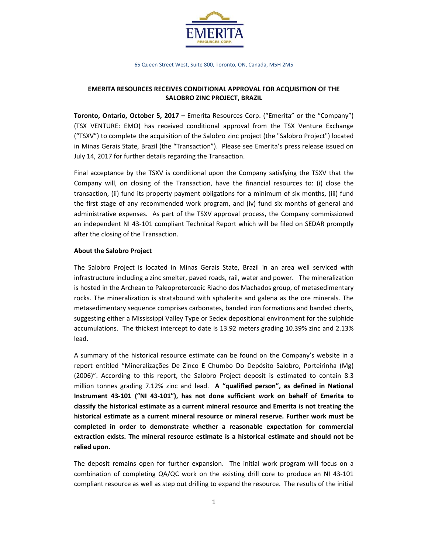

65 Queen Street West, Suite 800, Toronto, ON, Canada, M5H 2M5

# **EMERITA RESOURCES RECEIVES CONDITIONAL APPROVAL FOR ACQUISITION OF THE SALOBRO ZINC PROJECT, BRAZIL**

**Toronto, Ontario, October 5, 2017 –** Emerita Resources Corp. ("Emerita" or the "Company") (TSX VENTURE: EMO) has received conditional approval from the TSX Venture Exchange ("TSXV") to complete the acquisition of the Salobro zinc project (the "Salobro Project") located in Minas Gerais State, Brazil (the "Transaction"). Please see Emerita's press release issued on July 14, 2017 for further details regarding the Transaction.

Final acceptance by the TSXV is conditional upon the Company satisfying the TSXV that the Company will, on closing of the Transaction, have the financial resources to: (i) close the transaction, (ii) fund its property payment obligations for a minimum of six months, (iii) fund the first stage of any recommended work program, and (iv) fund six months of general and administrative expenses. As part of the TSXV approval process, the Company commissioned an independent NI 43‐101 compliant Technical Report which will be filed on SEDAR promptly after the closing of the Transaction.

# **About the Salobro Project**

The Salobro Project is located in Minas Gerais State, Brazil in an area well serviced with infrastructure including a zinc smelter, paved roads, rail, water and power. The mineralization is hosted in the Archean to Paleoproterozoic Riacho dos Machados group, of metasedimentary rocks. The mineralization is stratabound with sphalerite and galena as the ore minerals. The metasedimentary sequence comprises carbonates, banded iron formations and banded cherts, suggesting either a Mississippi Valley Type or Sedex depositional environment for the sulphide accumulations. The thickest intercept to date is 13.92 meters grading 10.39% zinc and 2.13% lead.

A summary of the historical resource estimate can be found on the Company's website in a report entitled "Mineralizações De Zinco E Chumbo Do Depósito Salobro, Porteirinha (Mg) (2006)". According to this report, the Salobro Project deposit is estimated to contain 8.3 million tonnes grading 7.12% zinc and lead. **A "qualified person", as defined in National Instrument 43‐101 ("NI 43‐101"), has not done sufficient work on behalf of Emerita to classify the historical estimate as a current mineral resource and Emerita is not treating the historical estimate as a current mineral resource or mineral reserve. Further work must be completed in order to demonstrate whether a reasonable expectation for commercial extraction exists. The mineral resource estimate is a historical estimate and should not be relied upon.**

The deposit remains open for further expansion. The initial work program will focus on a combination of completing QA/QC work on the existing drill core to produce an NI 43‐101 compliant resource as well as step out drilling to expand the resource. The results of the initial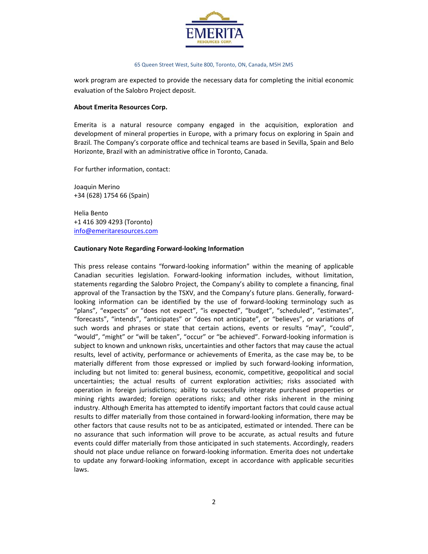

#### 65 Queen Street West, Suite 800, Toronto, ON, Canada, M5H 2M5

work program are expected to provide the necessary data for completing the initial economic evaluation of the Salobro Project deposit.

### **About Emerita Resources Corp.**

Emerita is a natural resource company engaged in the acquisition, exploration and development of mineral properties in Europe, with a primary focus on exploring in Spain and Brazil. The Company's corporate office and technical teams are based in Sevilla, Spain and Belo Horizonte, Brazil with an administrative office in Toronto, Canada.

For further information, contact:

Joaquin Merino +34 (628) 1754 66 (Spain)

Helia Bento +1 416 309 4293 (Toronto) info@emeritaresources.com

## **Cautionary Note Regarding Forward‐looking Information**

This press release contains "forward‐looking information" within the meaning of applicable Canadian securities legislation. Forward‐looking information includes, without limitation, statements regarding the Salobro Project, the Company's ability to complete a financing, final approval of the Transaction by the TSXV, and the Company's future plans. Generally, forwardlooking information can be identified by the use of forward-looking terminology such as "plans", "expects" or "does not expect", "is expected", "budget", "scheduled", "estimates", "forecasts", "intends", "anticipates" or "does not anticipate", or "believes", or variations of such words and phrases or state that certain actions, events or results "may", "could", "would", "might" or "will be taken", "occur" or "be achieved". Forward‐looking information is subject to known and unknown risks, uncertainties and other factors that may cause the actual results, level of activity, performance or achievements of Emerita, as the case may be, to be materially different from those expressed or implied by such forward‐looking information, including but not limited to: general business, economic, competitive, geopolitical and social uncertainties; the actual results of current exploration activities; risks associated with operation in foreign jurisdictions; ability to successfully integrate purchased properties or mining rights awarded; foreign operations risks; and other risks inherent in the mining industry. Although Emerita has attempted to identify important factors that could cause actual results to differ materially from those contained in forward‐looking information, there may be other factors that cause results not to be as anticipated, estimated or intended. There can be no assurance that such information will prove to be accurate, as actual results and future events could differ materially from those anticipated in such statements. Accordingly, readers should not place undue reliance on forward‐looking information. Emerita does not undertake to update any forward‐looking information, except in accordance with applicable securities laws.